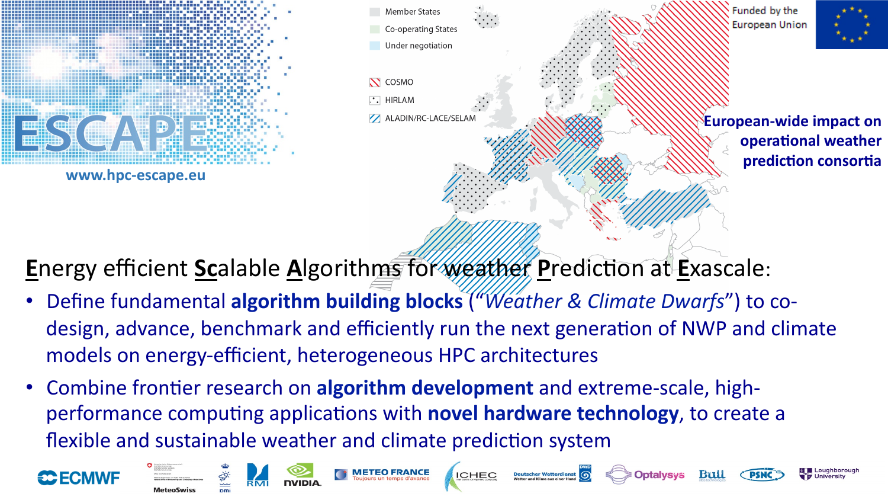







**European-wide impact on operational weather** 

**E**nergy efficient **Scalable Algorithms** for weather Prediction at Exascale:

- **Define fundamental algorithm building blocks** ("Weather & Climate Dwarfs") to codesign, advance, benchmark and efficiently run the next generation of NWP and climate models on energy-efficient, heterogeneous HPC architectures
- Combine frontier research on algorithm development and extreme-scale, highperformance computing applications with **novel hardware technology**, to create a flexible and sustainable weather and climate prediction system















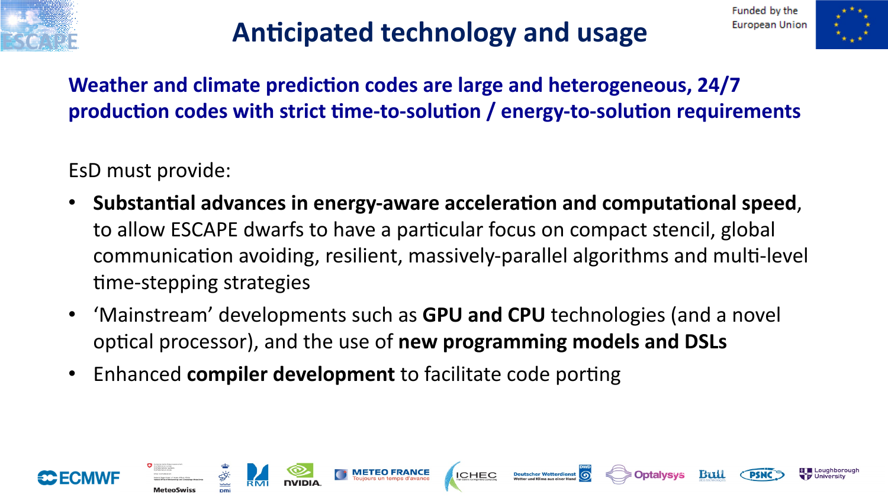



## **Anticipated technology and usage**

**Weather and climate prediction codes are large and heterogeneous, 24/7** production codes with strict time-to-solution / energy-to-solution requirements

EsD must provide:

- Substantial advances in energy-aware acceleration and computational speed, to allow ESCAPE dwarfs to have a particular focus on compact stencil, global communication avoiding, resilient, massively-parallel algorithms and multi-level time-stepping strategies
- 'Mainstream' developments such as **GPU and CPU** technologies (and a novel optical processor), and the use of **new programming models and DSLs**

**ICHEC** 

• Enhanced **compiler development** to facilitate code porting